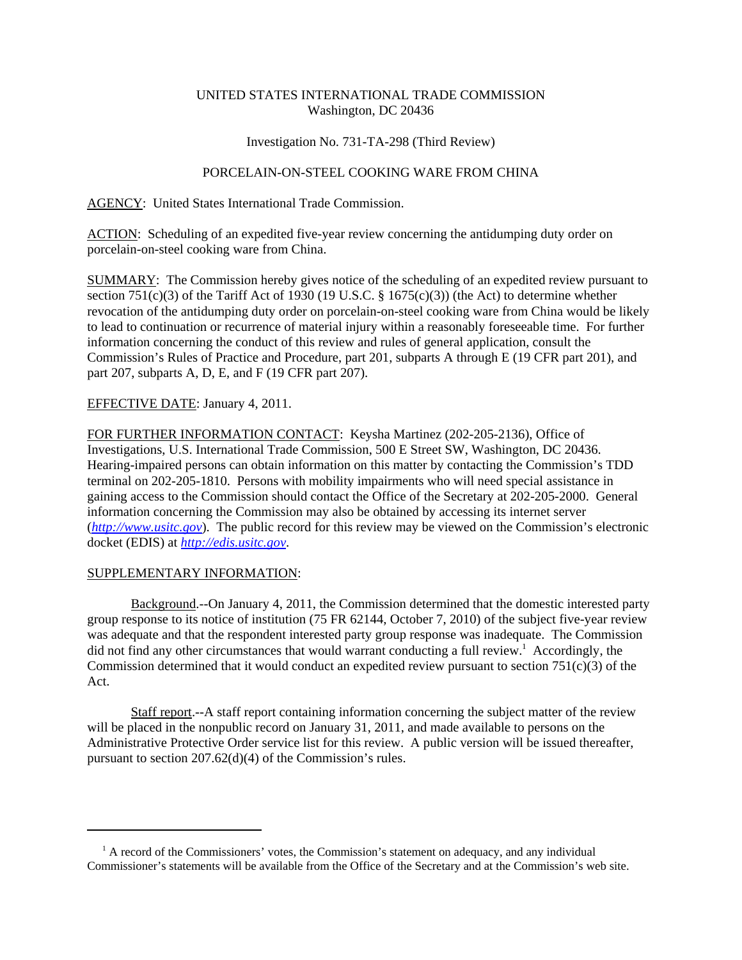# UNITED STATES INTERNATIONAL TRADE COMMISSION Washington, DC 20436

## Investigation No. 731-TA-298 (Third Review)

# PORCELAIN-ON-STEEL COOKING WARE FROM CHINA

AGENCY: United States International Trade Commission.

ACTION: Scheduling of an expedited five-year review concerning the antidumping duty order on porcelain-on-steel cooking ware from China.

SUMMARY: The Commission hereby gives notice of the scheduling of an expedited review pursuant to section 751(c)(3) of the Tariff Act of 1930 (19 U.S.C.  $\S$  1675(c)(3)) (the Act) to determine whether revocation of the antidumping duty order on porcelain-on-steel cooking ware from China would be likely to lead to continuation or recurrence of material injury within a reasonably foreseeable time. For further information concerning the conduct of this review and rules of general application, consult the Commission's Rules of Practice and Procedure, part 201, subparts A through E (19 CFR part 201), and part 207, subparts A, D, E, and F (19 CFR part 207).

## EFFECTIVE DATE: January 4, 2011.

FOR FURTHER INFORMATION CONTACT: Keysha Martinez (202-205-2136), Office of Investigations, U.S. International Trade Commission, 500 E Street SW, Washington, DC 20436. Hearing-impaired persons can obtain information on this matter by contacting the Commission's TDD terminal on 202-205-1810. Persons with mobility impairments who will need special assistance in gaining access to the Commission should contact the Office of the Secretary at 202-205-2000. General information concerning the Commission may also be obtained by accessing its internet server (*http://www.usitc.gov*). The public record for this review may be viewed on the Commission's electronic docket (EDIS) at *http://edis.usitc.gov*.

### SUPPLEMENTARY INFORMATION:

Background.--On January 4, 2011, the Commission determined that the domestic interested party group response to its notice of institution (75 FR 62144, October 7, 2010) of the subject five-year review was adequate and that the respondent interested party group response was inadequate. The Commission did not find any other circumstances that would warrant conducting a full review.<sup>1</sup> Accordingly, the Commission determined that it would conduct an expedited review pursuant to section  $751(c)(3)$  of the Act.

Staff report.--A staff report containing information concerning the subject matter of the review will be placed in the nonpublic record on January 31, 2011, and made available to persons on the Administrative Protective Order service list for this review. A public version will be issued thereafter, pursuant to section 207.62(d)(4) of the Commission's rules.

<sup>&</sup>lt;sup>1</sup> A record of the Commissioners' votes, the Commission's statement on adequacy, and any individual Commissioner's statements will be available from the Office of the Secretary and at the Commission's web site.